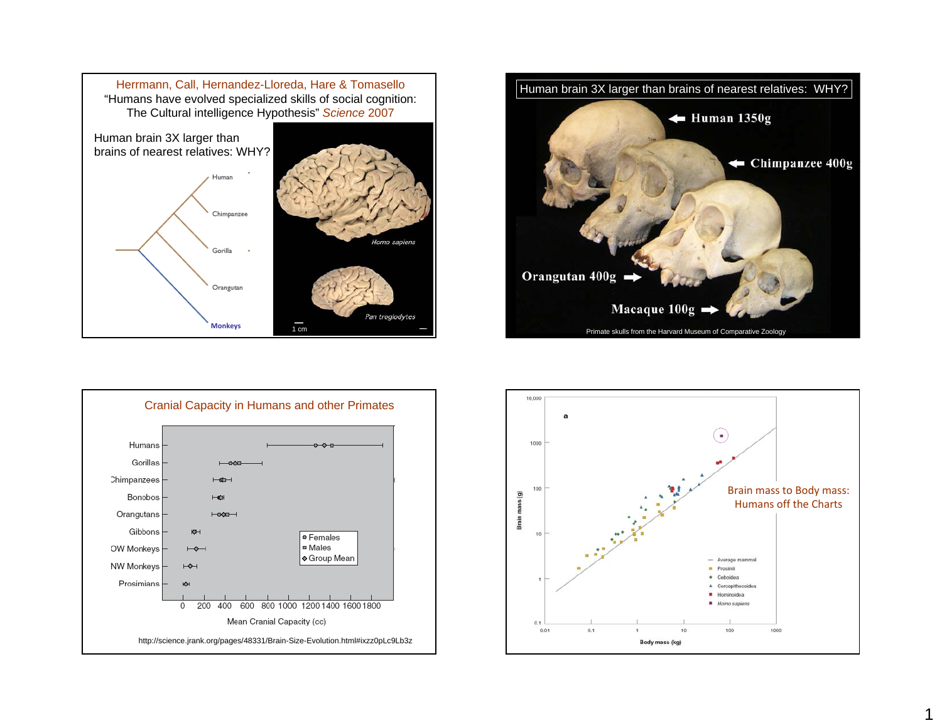





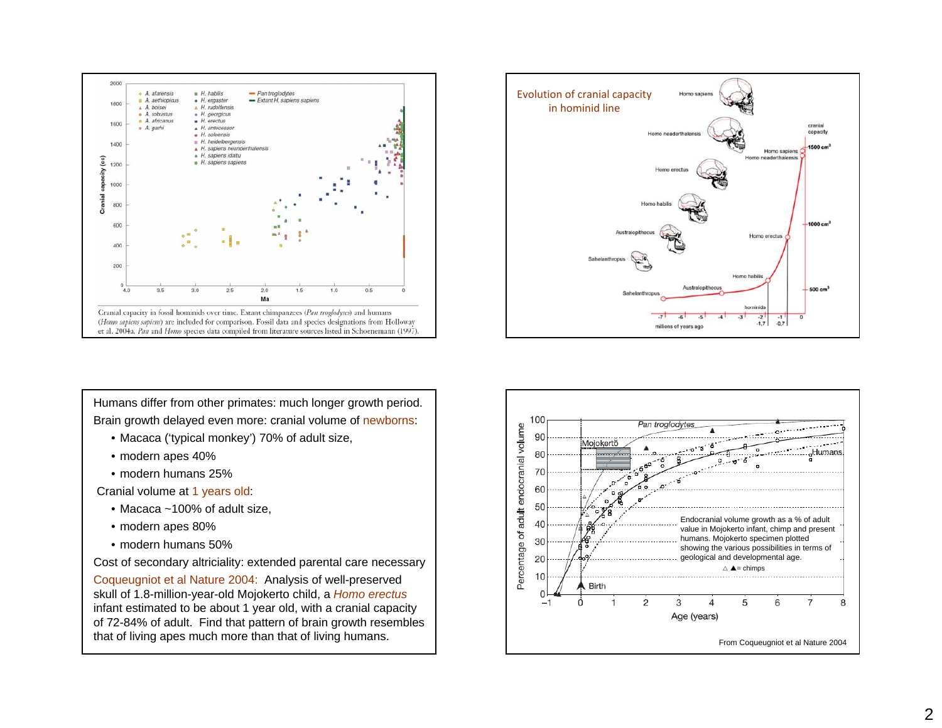



Humans differ from other primates: much longer growth period. Brain growth delayed even more: cranial volume of newborns:

- Macaca ('typical monkey') 70% of adult size,
- modern apes 40%
- modern humans 25%

Cranial volume at 1 years old:

- Macaca ~100% of adult size,
- modern apes 80%
- modern humans 50%

Cost of secondary altriciality: extended parental care necessary Coqueugniot et al Nature 2004: Analysis of well-preserved skull of 1.8-million-year-old Mojokerto child, a *Homo erectus* infant estimated to be about 1 year old, with a cranial capacity of 72-84% of adult. Find that pattern of brain growth resembles

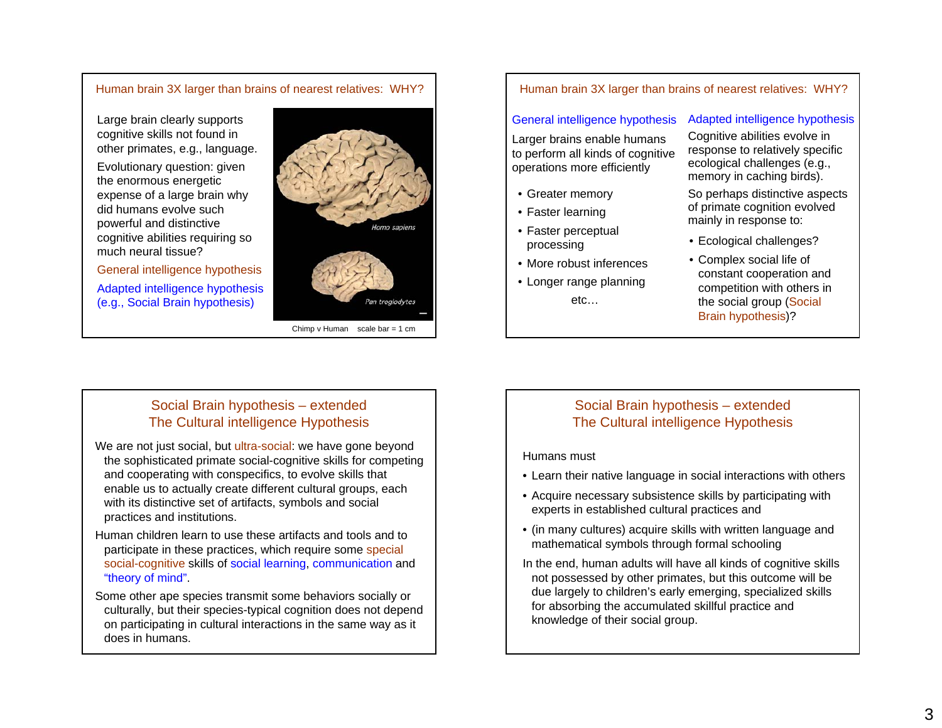## Human brain 3X larger than brains of nearest relatives: WHY?

Large brain clearly supports cognitive skills not found in other primates, e.g., language.

Evolutionary question: given the enormous energetic expense of a large brain why did humans evolve such powerful and distinctive cognitive abilities requiring so much neural tissue?

General intelligence hypothesis Adapted intelligence hypothesis (e.g., Social Brain hypothesis)



Chimp v Human scale bar = 1 cm

Pan troglodytes

Human brain 3X larger than brains of nearest relatives: WHY?

## General intelligence hypothesis

Larger brains enable humans to perform all kinds of cognitive operations more efficiently

- Greater memory
- Faster learning
- Faster perceptual processing
- More robust inferences
- Longer range planning etc…

### Adapted intelligence hypothesis

Cognitive abilities evolve in response to relatively specific ecological challenges (e.g., memory in caching birds).

So perhaps distinctive aspects of primate cognition evolved mainly in response to:

- Ecological challenges?
- Complex social life of constant cooperation and competition with others in the social group (Social Brain hypothesis)?

# Social Brain hypothesis – extended The Cultural intelligence Hypothesis

We are not just social, but ultra-social: we have gone beyond the sophisticated primate social-cognitive skills for competing and cooperating with conspecifics, to evolve skills that enable us to actually create different cultural groups, each with its distinctive set of artifacts, symbols and social practices and institutions.

Human children learn to use these artifacts and tools and to participate in these practices, which require some special social-cognitive skills of social learning, communication and "theory of mind".

Some other ape species transmit some behaviors socially or culturally, but their species-typical cognition does not depend on participating in cultural interactions in the same way as it does in humans.

# Social Brain hypothesis – extended The Cultural intelligence Hypothesis

#### Humans must

- Learn their native language in social interactions with others
- Acquire necessary subsistence skills by participating with experts in established cultural practices and
- (in many cultures) acquire skills with written language and mathematical symbols through formal schooling
- In the end, human adults will have all kinds of cognitive skills not possessed by other primates, but this outcome will be due largely to children's early emerging, specialized skills for absorbing the accumulated skillful practice and knowledge of their social group.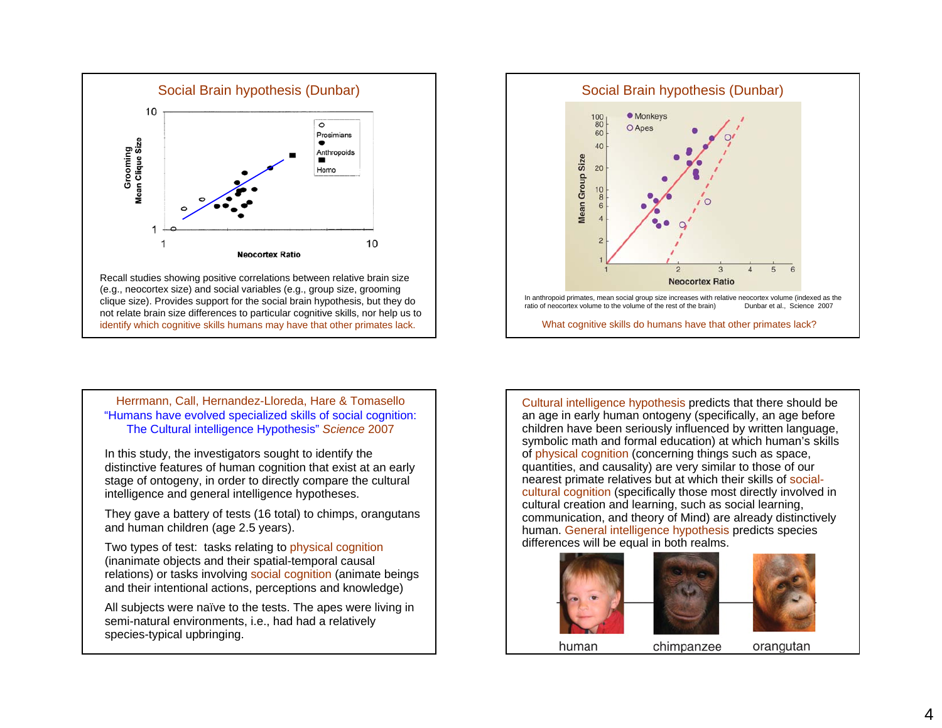



Herrmann, Call, Hernandez-Lloreda, Hare & Tomasello "Humans have evolved specialized skills of social cognition: The Cultural intelligence Hypothesis" *Science* 2007

In this study, the investigators sought to identify the distinctive features of human cognition that exist at an early stage of ontogeny, in order to directly compare the cultural intelligence and general intelligence hypotheses.

They gave a battery of tests (16 total) to chimps, orangutans and human children (age 2.5 years).

Two types of test: tasks relating to physical cognition (inanimate objects and their spatial-temporal causal relations) or tasks involving social cognition (animate beings and their intentional actions, perceptions and knowledge)

All subjects were naïve to the tests. The apes were living in semi-natural environments, i.e., had had a relatively species-typical upbringing.

Cultural intelligence hypothesis predicts that there should be an age in early human ontogeny (specifically, an age before children have been seriously influenced by written language, symbolic math and formal education) at which human's skills of physical cognition (concerning things such as space, quantities, and causality) are very similar to those of our nearest primate relatives but at which their skills of socialcultural cognition (specifically those most directly involved in cultural creation and learning, such as social learning, communication, and theory of Mind) are already distinctively human. General intelligence hypothesis predicts species differences will be equal in both realms.